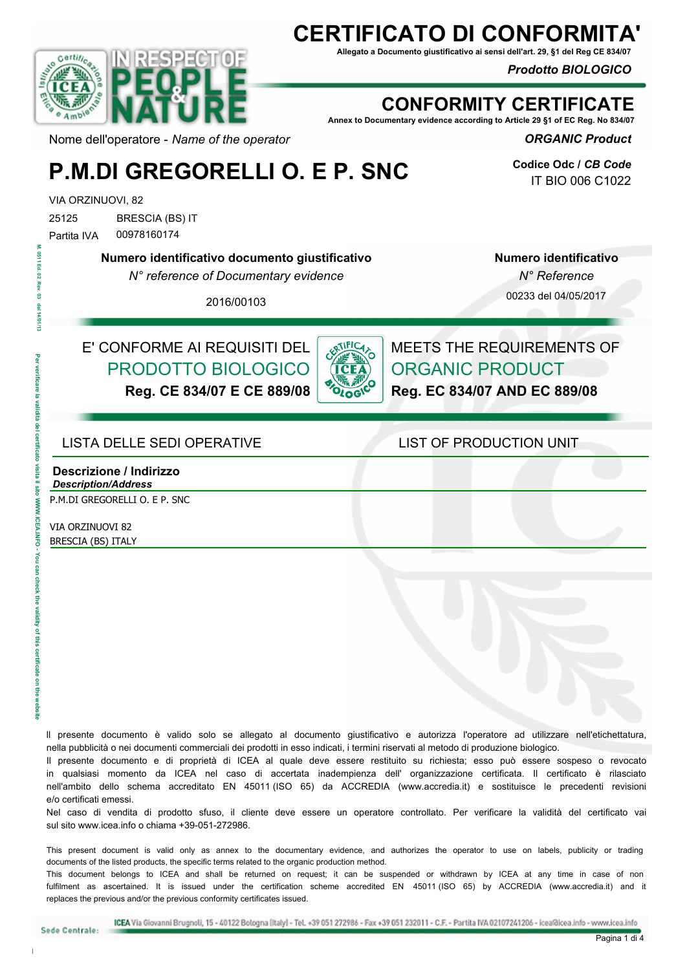# **CERTIFICATO DI CONFORMITA'**

**Allegato a Documento giustificativo ai sensi dell'art. 29, §1 del Reg CE 834/07**

*Prodotto BIOLOGICO* 



### **CONFORMITY CERTIFICATE**

**Annex to Documentary evidence according to Article 29 §1 of EC Reg. No 834/07**

*ORGANIC Product* 

**Codice Odc /** *CB Code* IT BIO 006 C1022

## **P.M.DI GREGORELLI O. E P. SNC**

VIA ORZINUOVI, 82

25125 BRESCIA (BS) IT Partita IVA 00978160174

**Numero identificativo documento giustificativo**

*N° reference of Documentary evidence*

**Numero identificativo**  *N° Reference*

2016/00103

00233 del 04/05/2017

### E' CONFORME AI REQUISITI DEL PRODOTTO BIOLOGICO

**Reg. CE 834/07 E CE 889/08**



MEETS THE REQUIREMENTS OF ORGANIC PRODUCT **Reg. EC 834/07 AND EC 889/08**

#### LISTA DELLE SEDI OPERATIVE LIST OF PRODUCTION UNIT

#### **Descrizione / Indirizzo** *Description/Address*

P.M.DI GREGORELLI O. E P. SNC

VIA ORZINUOVI 82 BRESCIA (BS) ITALY

ll presente documento è valido solo se allegato al documento giustificativo e autorizza l'operatore ad utilizzare nell'etichettatura, nella pubblicità o nei documenti commerciali dei prodotti in esso indicati, i termini riservati al metodo di produzione biologico.

Il presente documento e di proprietà di ICEA al quale deve essere restituito su richiesta; esso può essere sospeso o revocato in qualsiasi momento da ICEA nel caso di accertata inadempienza dell' organizzazione certificata. Il certificato è rilasciato nell'ambito dello schema accreditato EN 45011 (ISO 65) da ACCREDIA (www.accredia.it) e sostituisce le precedenti revisioni e/o certificati emessi.

Nel caso di vendita di prodotto sfuso, il cliente deve essere un operatore controllato. Per verificare la validità del certificato vai sul sito www.icea.info o chiama +39-051-272986

This present document is valid only as annex to the documentary evidence, and authorizes the operator to use on labels, publicity or trading documents of the listed products, the specific terms related to the organic production method.

This document belongs to ICEA and shall be returned on request; it can be suspended or withdrawn by ICEA at any time in case of non fulfilment as ascertained. It is issued under the certification scheme accredited EN 45011 (ISO 65) by ACCREDIA (www.accredia.it) and it replaces the previous and/or the previous conformity certificates issued.

 **Per verificare la validità del certificato visita il sito WWW.ICEA.INFO - You can check the validity of this certificate on the website M. 0511 Ed. 02 Rev. 03 del 14/01/13** 

ง<br>รา ikalis<br>C i<br>Dai

**Check the** 

validity of this certific

 $\frac{1}{6}$ 

0511 Ed. 02  $\overline{a}$ ē

ā

Sede Centrale: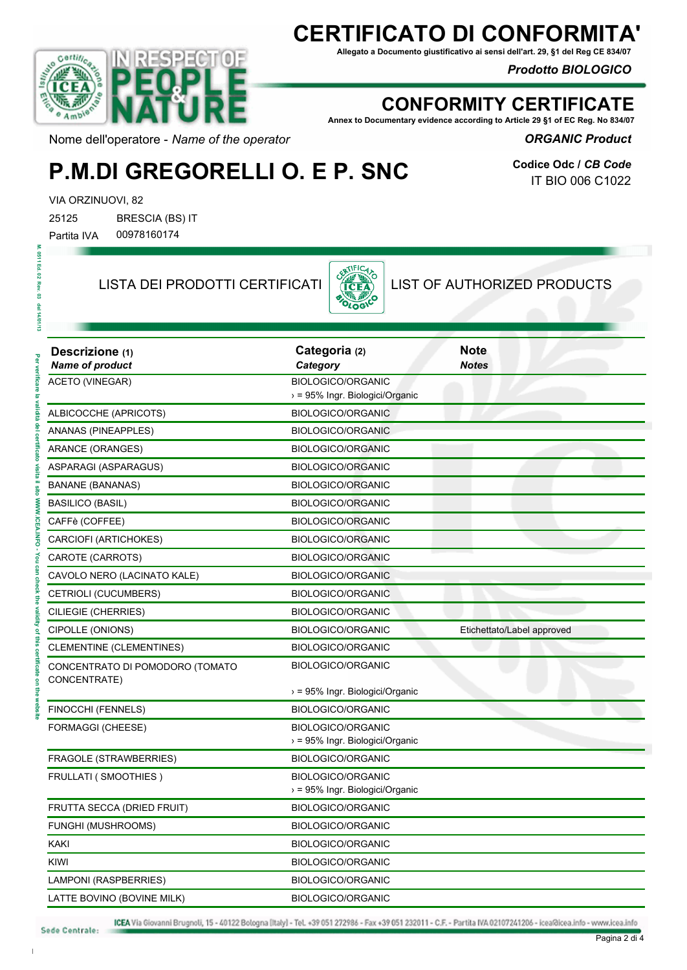# **CERTIFICATO DI CONFORMITA'**

**Allegato a Documento giustificativo ai sensi dell'art. 29, §1 del Reg CE 834/07**

#### *Prodotto BIOLOGICO*



### **CONFORMITY CERTIFICATE**

**Annex to Documentary evidence according to Article 29 §1 of EC Reg. No 834/07**

*ORGANIC Product* 

Nome dell'operatore - *Name of the operator*

# **P.M.DI GREGORELLI O. E P. SNC**

**Codice Odc /** *CB Code* IT BIO 006 C1022

VIA ORZINUOVI, 82

25125 BRESCIA (BS) IT Partita IVA 00978160174

LISTA DEI PRODOTTI CERTIFICATI  $\begin{bmatrix} \frac{\partial \mathbf{X}^{\text{N}}}{\partial \mathbf{C} \mathbf{E} \mathbf{A}} \\ \frac{\partial \mathbf{X}}{\partial \mathbf{C} \mathbf{A}} \end{bmatrix}$  LIST OF AUTHORIZED PRODUCTS



| Descrizione (1)<br><b>Name of product</b>       | Categoria (2)<br>Category                                   | <b>Note</b><br><b>Notes</b> |
|-------------------------------------------------|-------------------------------------------------------------|-----------------------------|
| ACETO (VINEGAR)                                 | <b>BIOLOGICO/ORGANIC</b><br>> = 95% Ingr. Biologici/Organic |                             |
| ALBICOCCHE (APRICOTS)                           | BIOLOGICO/ORGANIC                                           |                             |
| ANANAS (PINEAPPLES)                             | <b>BIOLOGICO/ORGANIC</b>                                    |                             |
| <b>ARANCE (ORANGES)</b>                         | <b>BIOLOGICO/ORGANIC</b>                                    |                             |
| ASPARAGI (ASPARAGUS)                            | BIOLOGICO/ORGANIC                                           |                             |
| <b>BANANE (BANANAS)</b>                         | <b>BIOLOGICO/ORGANIC</b>                                    |                             |
| <b>BASILICO (BASIL)</b>                         | <b>BIOLOGICO/ORGANIC</b>                                    |                             |
| CAFFè (COFFEE)                                  | <b>BIOLOGICO/ORGANIC</b>                                    |                             |
| CARCIOFI (ARTICHOKES)                           | BIOLOGICO/ORGANIC                                           |                             |
| CAROTE (CARROTS)                                | <b>BIOLOGICO/ORGANIC</b>                                    |                             |
| CAVOLO NERO (LACINATO KALE)                     | <b>BIOLOGICO/ORGANIC</b>                                    |                             |
| CETRIOLI (CUCUMBERS)                            | BIOLOGICO/ORGANIC                                           |                             |
| CILIEGIE (CHERRIES)                             | <b>BIOLOGICO/ORGANIC</b>                                    |                             |
| CIPOLLE (ONIONS)                                | <b>BIOLOGICO/ORGANIC</b>                                    | Etichettato/Label approved  |
| <b>CLEMENTINE (CLEMENTINES)</b>                 | BIOLOGICO/ORGANIC                                           |                             |
| CONCENTRATO DI POMODORO (TOMATO<br>CONCENTRATE) | BIOLOGICO/ORGANIC                                           |                             |
|                                                 | > = 95% Ingr. Biologici/Organic                             |                             |
| FINOCCHI (FENNELS)                              | BIOLOGICO/ORGANIC                                           |                             |
| FORMAGGI (CHEESE)                               | BIOLOGICO/ORGANIC<br>> = 95% Ingr. Biologici/Organic        |                             |
| FRAGOLE (STRAWBERRIES)                          | BIOLOGICO/ORGANIC                                           |                             |
| <b>FRULLATI (SMOOTHIES)</b>                     | BIOLOGICO/ORGANIC<br>> = 95% Ingr. Biologici/Organic        |                             |
| FRUTTA SECCA (DRIED FRUIT)                      | BIOLOGICO/ORGANIC                                           |                             |
| <b>FUNGHI (MUSHROOMS)</b>                       | BIOLOGICO/ORGANIC                                           |                             |
| KAKI                                            | BIOLOGICO/ORGANIC                                           |                             |
| KIWI                                            | BIOLOGICO/ORGANIC                                           |                             |
| LAMPONI (RASPBERRIES)                           | BIOLOGICO/ORGANIC                                           |                             |
| LATTE BOVINO (BOVINE MILK)                      | <b>BIOLOGICO/ORGANIC</b>                                    |                             |

ICEA Via Giovanni Brugnoli, 15 - 40122 Bologna (Italy) - Tel. +39 051 272986 - Fax +39 051 232011 - C.F. - Partita IVA 02107241206 - icea@icea.info - www.icea.info

M. 0511 Ed. 02 Rev

 $\frac{1}{3}$ 

del 14/01/13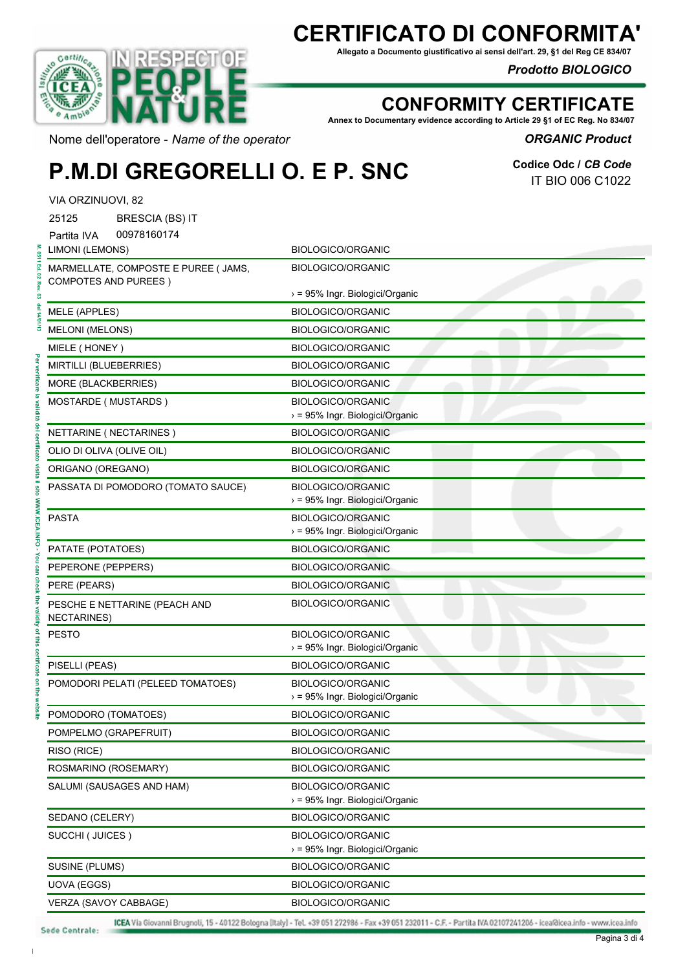# **CERTIFICATO DI CONFORM**

**Allegato a Documento giustificativo ai sensi dell'art. 29, §1 del Reg CE 834/07**

#### *Prodotto BIOLOGICO*



### **CONFORMITY CERTIFICATE**

**Annex to Documentary evidence according to Article 29 §1 of EC Reg. No 834/07**

#### *ORGANIC Product*

Nome dell'operatore - *Name of the operator*

## **P.M.DI GREGORELLI O. E P. SNC**

**Codice Odc /** *CB Code* IT BIO 006 C1022

| VIA ORZINUOVI, 82                                                   |                                                                         |
|---------------------------------------------------------------------|-------------------------------------------------------------------------|
| 25125<br><b>BRESCIA (BS) IT</b>                                     |                                                                         |
| 00978160174<br>Partita IVA                                          |                                                                         |
| LIMONI (LEMONS)                                                     | <b>BIOLOGICO/ORGANIC</b>                                                |
| MARMELLATE, COMPOSTE E PUREE ( JAMS,<br><b>COMPOTES AND PUREES)</b> | <b>BIOLOGICO/ORGANIC</b>                                                |
|                                                                     | > = 95% Ingr. Biologici/Organic                                         |
| <b>MELE (APPLES)</b>                                                | <b>BIOLOGICO/ORGANIC</b>                                                |
| <b>MELONI (MELONS)</b>                                              | <b>BIOLOGICO/ORGANIC</b>                                                |
| MIELE (HONEY)                                                       | <b>BIOLOGICO/ORGANIC</b>                                                |
| MIRTILLI (BLUEBERRIES)                                              | BIOLOGICO/ORGANIC                                                       |
| MORE (BLACKBERRIES)                                                 | <b>BIOLOGICO/ORGANIC</b>                                                |
| MOSTARDE (MUSTARDS)                                                 | <b>BIOLOGICO/ORGANIC</b><br>> = 95% Ingr. Biologici/Organic             |
| NETTARINE (NECTARINES)                                              | <b>BIOLOGICO/ORGANIC</b>                                                |
| OLIO DI OLIVA (OLIVE OIL)                                           | <b>BIOLOGICO/ORGANIC</b>                                                |
| ORIGANO (OREGANO)                                                   | <b>BIOLOGICO/ORGANIC</b>                                                |
| PASSATA DI POMODORO (TOMATO SAUCE)                                  | <b>BIOLOGICO/ORGANIC</b><br>> = 95% Ingr. Biologici/Organic             |
| <b>PASTA</b>                                                        | <b>BIOLOGICO/ORGANIC</b><br>> = 95% Ingr. Biologici/Organic             |
| PATATE (POTATOES)                                                   | <b>BIOLOGICO/ORGANIC</b>                                                |
| PEPERONE (PEPPERS)                                                  | <b>BIOLOGICO/ORGANIC</b>                                                |
| PERE (PEARS)                                                        | <b>BIOLOGICO/ORGANIC</b>                                                |
| PESCHE E NETTARINE (PEACH AND<br><b>NECTARINES)</b>                 | <b>BIOLOGICO/ORGANIC</b>                                                |
| <b>PESTO</b>                                                        | <b>BIOLOGICO/ORGANIC</b><br>> = 95% Ingr. Biologici/Organic             |
| PISELLI (PEAS)                                                      | <b>BIOLOGICO/ORGANIC</b>                                                |
| POMODORI PELATI (PELEED TOMATOES)                                   | <b>BIOLOGICO/ORGANIC</b><br>$\rightarrow$ = 95% Ingr. Biologici/Organic |
| POMODORO (TOMATOES)                                                 | <b>BIOLOGICO/ORGANIC</b>                                                |
| POMPELMO (GRAPEFRUIT)                                               | <b>BIOLOGICO/ORGANIC</b>                                                |
| RISO (RICE)                                                         | BIOLOGICO/ORGANIC                                                       |
| ROSMARINO (ROSEMARY)                                                | BIOLOGICO/ORGANIC                                                       |
| SALUMI (SAUSAGES AND HAM)                                           | <b>BIOLOGICO/ORGANIC</b><br>> = 95% Ingr. Biologici/Organic             |
| SEDANO (CELERY)                                                     | <b>BIOLOGICO/ORGANIC</b>                                                |
| SUCCHI (JUICES)                                                     | <b>BIOLOGICO/ORGANIC</b><br>> = 95% Ingr. Biologici/Organic             |
| SUSINE (PLUMS)                                                      | <b>BIOLOGICO/ORGANIC</b>                                                |
| UOVA (EGGS)                                                         | <b>BIOLOGICO/ORGANIC</b>                                                |
| VERZA (SAVOY CABBAGE)                                               | BIOLOGICO/ORGANIC                                                       |

ICEA Via Giovanni Brugnoli, 15 - 40122 Bologna [Italy] - Tel. +39 051 272986 - Fax +39 051 232011 - C.F. - Partita IVA 02107241206 - icea@icea.info - www.icea.info

M. 0511 Ed. 02 Rev

 $\mathbf{r}$